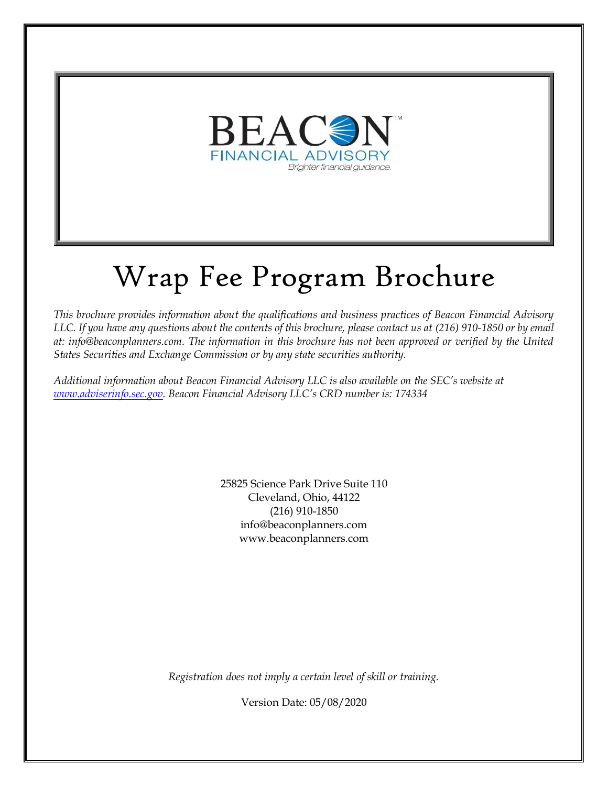

# Wrap Fee Program Brochure

*This brochure provides information about the qualifications and business practices of Beacon Financial Advisory LLC. If you have any questions about the contents of this brochure, please contact us at (216) 910-1850 or by email at: info@beaconplanners.com. The information in this brochure has not been approved or verified by the United States Securities and Exchange Commission or by any state securities authority.*

*Additional information about Beacon Financial Advisory LLC is also available on the SEC's website at [www.adviserinfo.sec.gov.](http://www.adviserinfo.sec.gov/) Beacon Financial Advisory LLC's CRD number is: 174334*

> 25825 Science Park Drive Suite 110 Cleveland, Ohio, 44122 (216) 910-1850 info@beaconplanners.com www.beaconplanners.com

*Registration does not imply a certain level of skill or training.*

Version Date: 05/08/2020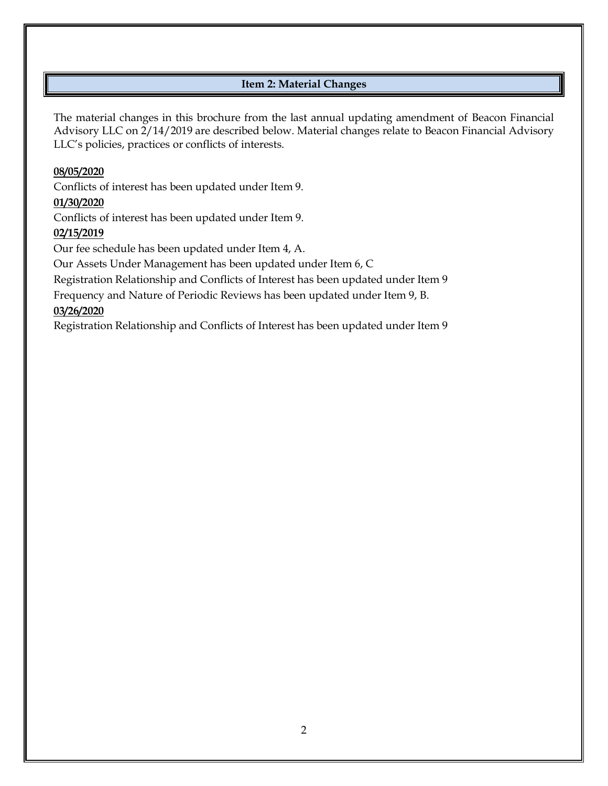# **Item 2: Material Changes**

<span id="page-1-0"></span>The material changes in this brochure from the last annual updating amendment of Beacon Financial Advisory LLC on 2/14/2019 are described below. Material changes relate to Beacon Financial Advisory LLC's policies, practices or conflicts of interests.

# **08/05/2020**

Conflicts of interest has been updated under Item 9.

# **01/30/2020**

Conflicts of interest has been updated under Item 9.

# **02/15/2019**

Our fee schedule has been updated under Item 4, A.

Our Assets Under Management has been updated under Item 6, C

Registration Relationship and Conflicts of Interest has been updated under Item 9

Frequency and Nature of Periodic Reviews has been updated under Item 9, B.

# **03/26/2020**

Registration Relationship and Conflicts of Interest has been updated under Item 9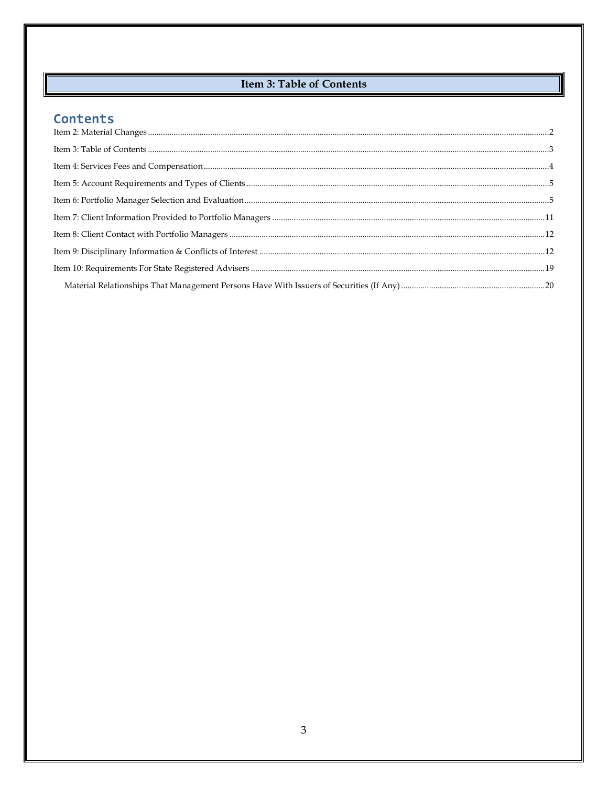# **Item 3: Table of Contents**

# <span id="page-2-0"></span>Contents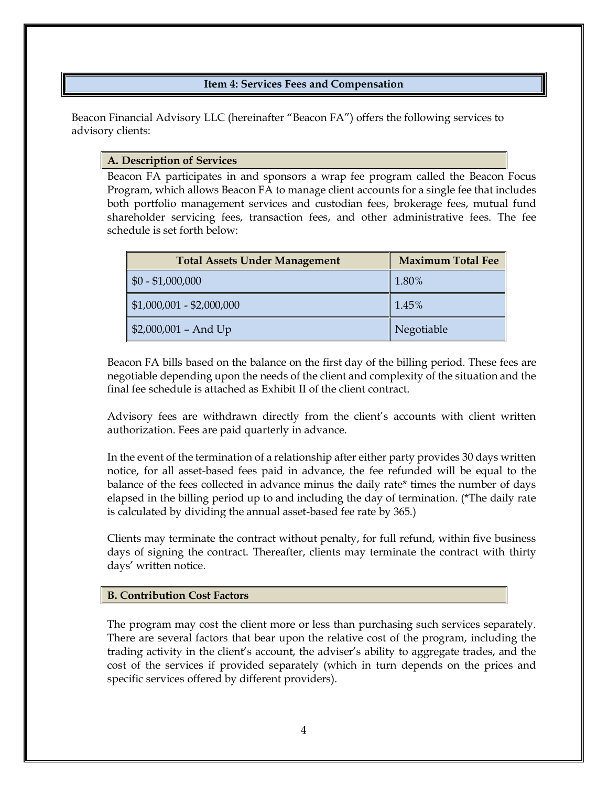# **Item 4: Services Fees and Compensation**

<span id="page-3-0"></span>Beacon Financial Advisory LLC (hereinafter "Beacon FA") offers the following services to advisory clients:

## **A. Description of Services**

Beacon FA participates in and sponsors a wrap fee program called the Beacon Focus Program, which allows Beacon FA to manage client accounts for a single fee that includes both portfolio management services and custodian fees, brokerage fees, mutual fund shareholder servicing fees, transaction fees, and other administrative fees. The fee schedule is set forth below:

| <b>Total Assets Under Management</b> | <b>Maximum Total Fee</b> |
|--------------------------------------|--------------------------|
| $\vert$ \$0 - \$1,000,000            | 1.80%                    |
| $\vert$ \$1,000,001 - \$2,000,000    | 1.45%                    |
| $\parallel$ \$2,000,001 - And Up     | Negotiable               |

Beacon FA bills based on the balance on the first day of the billing period. These fees are negotiable depending upon the needs of the client and complexity of the situation and the final fee schedule is attached as Exhibit II of the client contract.

Advisory fees are withdrawn directly from the client's accounts with client written authorization. Fees are paid quarterly in advance.

In the event of the termination of a relationship after either party provides 30 days written notice, for all asset-based fees paid in advance, the fee refunded will be equal to the balance of the fees collected in advance minus the daily rate\* times the number of days elapsed in the billing period up to and including the day of termination. (\*The daily rate is calculated by dividing the annual asset-based fee rate by 365.)

Clients may terminate the contract without penalty, for full refund, within five business days of signing the contract. Thereafter, clients may terminate the contract with thirty days' written notice.

## **B. Contribution Cost Factors**

The program may cost the client more or less than purchasing such services separately. There are several factors that bear upon the relative cost of the program, including the trading activity in the client's account, the adviser's ability to aggregate trades, and the cost of the services if provided separately (which in turn depends on the prices and specific services offered by different providers).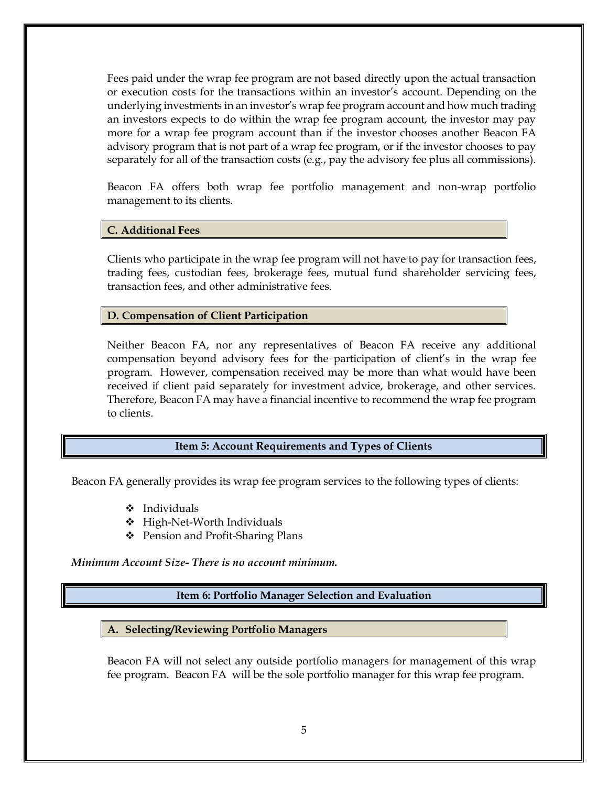Fees paid under the wrap fee program are not based directly upon the actual transaction or execution costs for the transactions within an investor's account. Depending on the underlying investments in an investor's wrap fee program account and how much trading an investors expects to do within the wrap fee program account, the investor may pay more for a wrap fee program account than if the investor chooses another Beacon FA advisory program that is not part of a wrap fee program, or if the investor chooses to pay separately for all of the transaction costs (e.g., pay the advisory fee plus all commissions).

Beacon FA offers both wrap fee portfolio management and non-wrap portfolio management to its clients.

## **C. Additional Fees**

Clients who participate in the wrap fee program will not have to pay for transaction fees, trading fees, custodian fees, brokerage fees, mutual fund shareholder servicing fees, transaction fees, and other administrative fees.

## **D. Compensation of Client Participation**

Neither Beacon FA, nor any representatives of Beacon FA receive any additional compensation beyond advisory fees for the participation of client's in the wrap fee program. However, compensation received may be more than what would have been received if client paid separately for investment advice, brokerage, and other services. Therefore, Beacon FA may have a financial incentive to recommend the wrap fee program to clients.

## **Item 5: Account Requirements and Types of Clients**

<span id="page-4-0"></span>Beacon FA generally provides its wrap fee program services to the following types of clients:

- ❖ Individuals
- ❖ High-Net-Worth Individuals
- ❖ Pension and Profit-Sharing Plans

<span id="page-4-1"></span>*Minimum Account Size- There is no account minimum.*

## **Item 6: Portfolio Manager Selection and Evaluation**

#### **A. Selecting/Reviewing Portfolio Managers**

Beacon FA will not select any outside portfolio managers for management of this wrap fee program. Beacon FA will be the sole portfolio manager for this wrap fee program.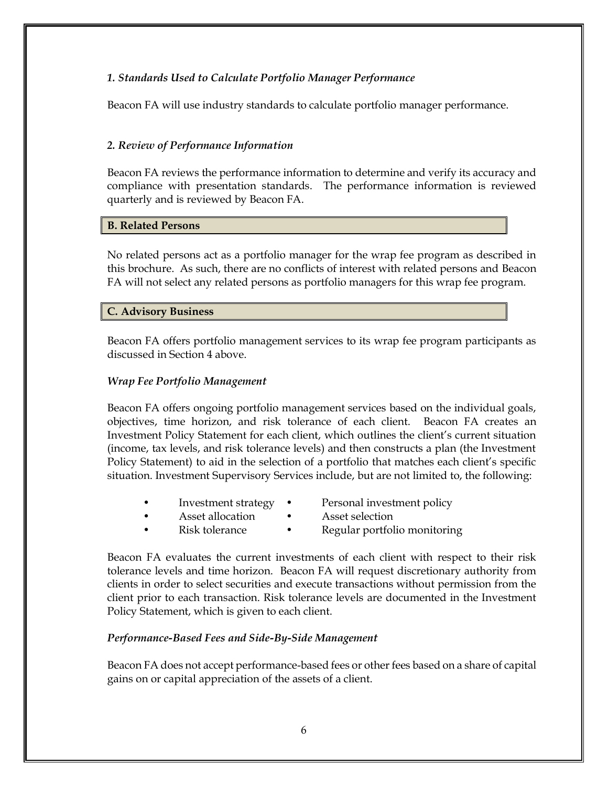# *1. Standards Used to Calculate Portfolio Manager Performance*

Beacon FA will use industry standards to calculate portfolio manager performance.

# *2. Review of Performance Information*

Beacon FA reviews the performance information to determine and verify its accuracy and compliance with presentation standards. The performance information is reviewed quarterly and is reviewed by Beacon FA.

## **B. Related Persons**

No related persons act as a portfolio manager for the wrap fee program as described in this brochure. As such, there are no conflicts of interest with related persons and Beacon FA will not select any related persons as portfolio managers for this wrap fee program.

## **C. Advisory Business**

Beacon FA offers portfolio management services to its wrap fee program participants as discussed in Section 4 above.

# *Wrap Fee Portfolio Management*

Beacon FA offers ongoing portfolio management services based on the individual goals, objectives, time horizon, and risk tolerance of each client. Beacon FA creates an Investment Policy Statement for each client, which outlines the client's current situation (income, tax levels, and risk tolerance levels) and then constructs a plan (the Investment Policy Statement) to aid in the selection of a portfolio that matches each client's specific situation. Investment Supervisory Services include, but are not limited to, the following:

- Investment strategy Personal investment policy
- Asset allocation Asset selection
	-
- 
- Risk tolerance Regular portfolio monitoring

Beacon FA evaluates the current investments of each client with respect to their risk tolerance levels and time horizon. Beacon FA will request discretionary authority from clients in order to select securities and execute transactions without permission from the client prior to each transaction. Risk tolerance levels are documented in the Investment Policy Statement, which is given to each client.

## *Performance-Based Fees and Side-By-Side Management*

Beacon FA does not accept performance-based fees or other fees based on a share of capital gains on or capital appreciation of the assets of a client.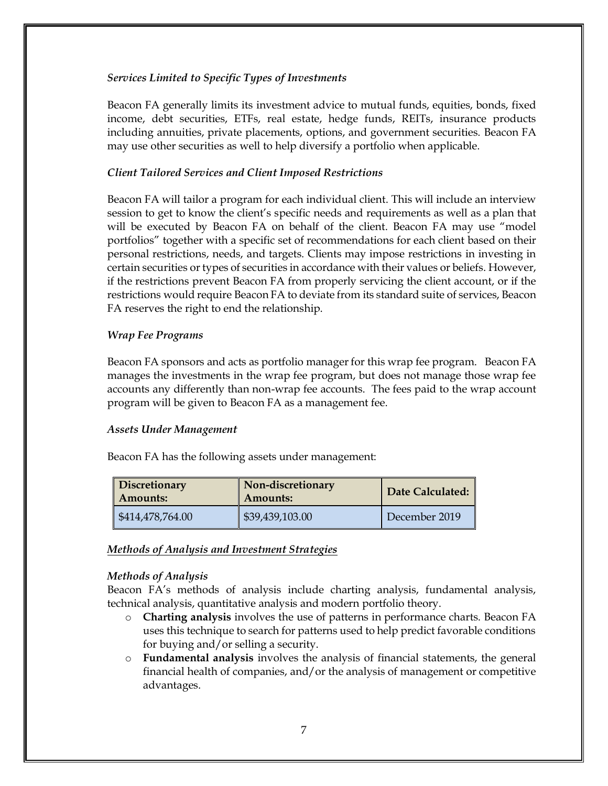## *Services Limited to Specific Types of Investments*

Beacon FA generally limits its investment advice to mutual funds, equities, bonds, fixed income, debt securities, ETFs, real estate, hedge funds, REITs, insurance products including annuities, private placements, options, and government securities. Beacon FA may use other securities as well to help diversify a portfolio when applicable.

## *Client Tailored Services and Client Imposed Restrictions*

Beacon FA will tailor a program for each individual client. This will include an interview session to get to know the client's specific needs and requirements as well as a plan that will be executed by Beacon FA on behalf of the client. Beacon FA may use "model portfolios" together with a specific set of recommendations for each client based on their personal restrictions, needs, and targets. Clients may impose restrictions in investing in certain securities or types of securities in accordance with their values or beliefs. However, if the restrictions prevent Beacon FA from properly servicing the client account, or if the restrictions would require Beacon FA to deviate from its standard suite of services, Beacon FA reserves the right to end the relationship.

## *Wrap Fee Programs*

Beacon FA sponsors and acts as portfolio manager for this wrap fee program. Beacon FA manages the investments in the wrap fee program, but does not manage those wrap fee accounts any differently than non-wrap fee accounts. The fees paid to the wrap account program will be given to Beacon FA as a management fee.

## *Assets Under Management*

Beacon FA has the following assets under management:

| <b>Discretionary</b><br>  Amounts: | Non-discretionary<br><b>Amounts:</b> | Date Calculated: |
|------------------------------------|--------------------------------------|------------------|
| $\frac{$414,478,764.00}{$          | \$39,439,103.00                      | December 2019    |

# *Methods of Analysis and Investment Strategies*

## *Methods of Analysis*

Beacon FA's methods of analysis include charting analysis, fundamental analysis, technical analysis, quantitative analysis and modern portfolio theory.

- o **Charting analysis** involves the use of patterns in performance charts. Beacon FA uses this technique to search for patterns used to help predict favorable conditions for buying and/or selling a security.
- o **Fundamental analysis** involves the analysis of financial statements, the general financial health of companies, and/or the analysis of management or competitive advantages.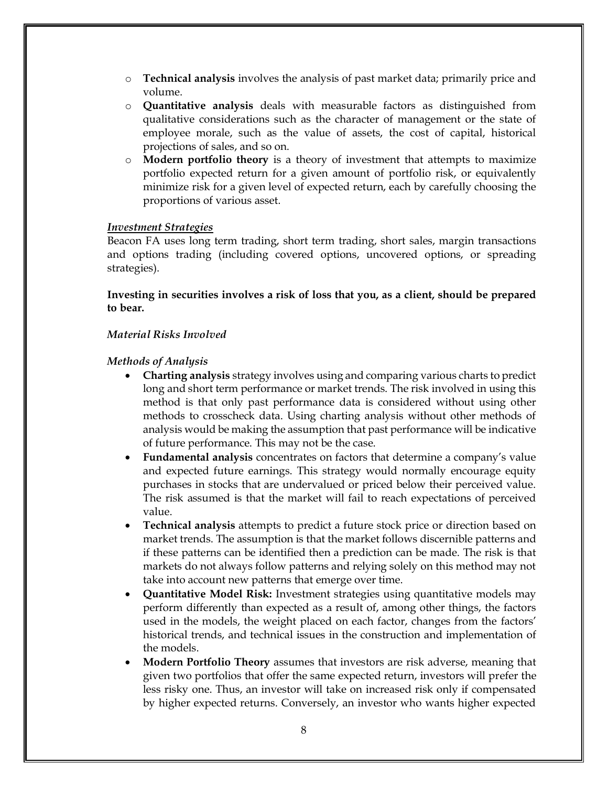- o **Technical analysis** involves the analysis of past market data; primarily price and volume.
- o **Quantitative analysis** deals with measurable factors as distinguished from qualitative considerations such as the character of management or the state of employee morale, such as the value of assets, the cost of capital, historical projections of sales, and so on.
- o **Modern portfolio theory** is a theory of investment that attempts to maximize portfolio expected return for a given amount of portfolio risk, or equivalently minimize risk for a given level of expected return, each by carefully choosing the proportions of various asset.

## *Investment Strategies*

Beacon FA uses long term trading, short term trading, short sales, margin transactions and options trading (including covered options, uncovered options, or spreading strategies).

**Investing in securities involves a risk of loss that you, as a client, should be prepared to bear.**

## *Material Risks Involved*

## *Methods of Analysis*

- **Charting analysis** strategy involves using and comparing various charts to predict long and short term performance or market trends. The risk involved in using this method is that only past performance data is considered without using other methods to crosscheck data. Using charting analysis without other methods of analysis would be making the assumption that past performance will be indicative of future performance. This may not be the case.
- **Fundamental analysis** concentrates on factors that determine a company's value and expected future earnings. This strategy would normally encourage equity purchases in stocks that are undervalued or priced below their perceived value. The risk assumed is that the market will fail to reach expectations of perceived value.
- **Technical analysis** attempts to predict a future stock price or direction based on market trends. The assumption is that the market follows discernible patterns and if these patterns can be identified then a prediction can be made. The risk is that markets do not always follow patterns and relying solely on this method may not take into account new patterns that emerge over time.
- **Quantitative Model Risk:** Investment strategies using quantitative models may perform differently than expected as a result of, among other things, the factors used in the models, the weight placed on each factor, changes from the factors' historical trends, and technical issues in the construction and implementation of the models.
- **Modern Portfolio Theory** assumes that investors are risk adverse, meaning that given two portfolios that offer the same expected return, investors will prefer the less risky one. Thus, an investor will take on increased risk only if compensated by higher expected returns. Conversely, an investor who wants higher expected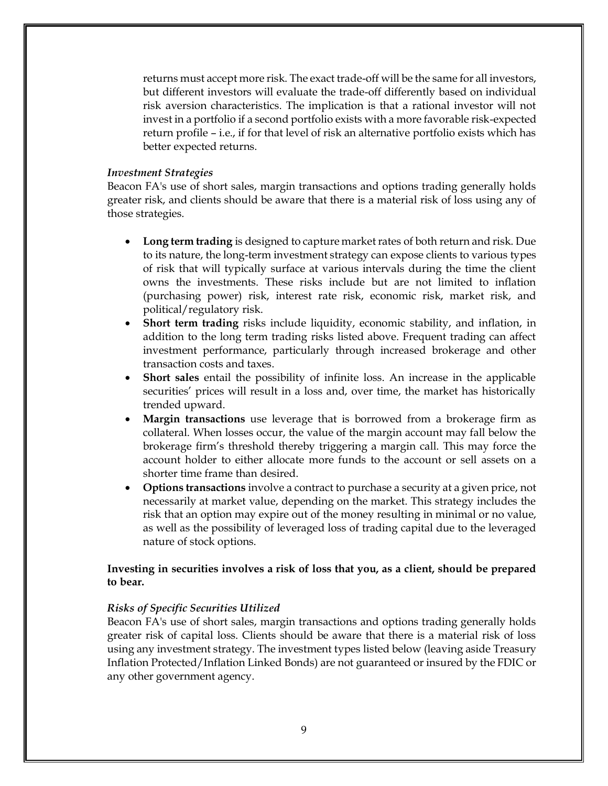returns must accept more risk. The exact trade-off will be the same for all investors, but different investors will evaluate the trade-off differently based on individual risk aversion characteristics. The implication is that a rational investor will not invest in a portfolio if a second portfolio exists with a more favorable risk-expected return profile – i.e., if for that level of risk an alternative portfolio exists which has better expected returns.

## *Investment Strategies*

Beacon FA's use of short sales, margin transactions and options trading generally holds greater risk, and clients should be aware that there is a material risk of loss using any of those strategies.

- **Long term trading** is designed to capture market rates of both return and risk. Due to its nature, the long-term investment strategy can expose clients to various types of risk that will typically surface at various intervals during the time the client owns the investments. These risks include but are not limited to inflation (purchasing power) risk, interest rate risk, economic risk, market risk, and political/regulatory risk.
- **Short term trading** risks include liquidity, economic stability, and inflation, in addition to the long term trading risks listed above. Frequent trading can affect investment performance, particularly through increased brokerage and other transaction costs and taxes.
- **Short sales** entail the possibility of infinite loss. An increase in the applicable securities' prices will result in a loss and, over time, the market has historically trended upward.
- **Margin transactions** use leverage that is borrowed from a brokerage firm as collateral. When losses occur, the value of the margin account may fall below the brokerage firm's threshold thereby triggering a margin call. This may force the account holder to either allocate more funds to the account or sell assets on a shorter time frame than desired.
- **Options transactions** involve a contract to purchase a security at a given price, not necessarily at market value, depending on the market. This strategy includes the risk that an option may expire out of the money resulting in minimal or no value, as well as the possibility of leveraged loss of trading capital due to the leveraged nature of stock options.

## **Investing in securities involves a risk of loss that you, as a client, should be prepared to bear.**

## *Risks of Specific Securities Utilized*

Beacon FA's use of short sales, margin transactions and options trading generally holds greater risk of capital loss. Clients should be aware that there is a material risk of loss using any investment strategy. The investment types listed below (leaving aside Treasury Inflation Protected/Inflation Linked Bonds) are not guaranteed or insured by the FDIC or any other government agency.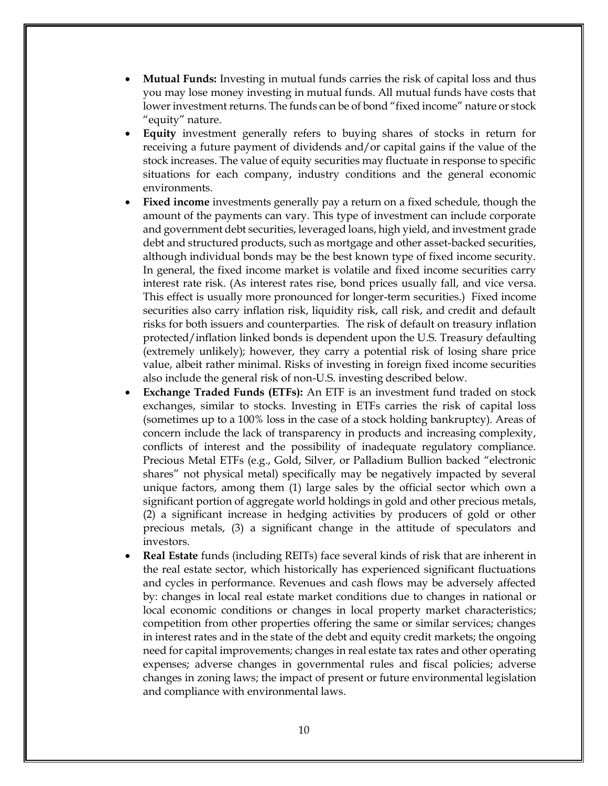- **Mutual Funds:** Investing in mutual funds carries the risk of capital loss and thus you may lose money investing in mutual funds. All mutual funds have costs that lower investment returns. The funds can be of bond "fixed income" nature or stock "equity" nature.
- **Equity** investment generally refers to buying shares of stocks in return for receiving a future payment of dividends and/or capital gains if the value of the stock increases. The value of equity securities may fluctuate in response to specific situations for each company, industry conditions and the general economic environments.
- **Fixed income** investments generally pay a return on a fixed schedule, though the amount of the payments can vary. This type of investment can include corporate and government debt securities, leveraged loans, high yield, and investment grade debt and structured products, such as mortgage and other asset-backed securities, although individual bonds may be the best known type of fixed income security. In general, the fixed income market is volatile and fixed income securities carry interest rate risk. (As interest rates rise, bond prices usually fall, and vice versa. This effect is usually more pronounced for longer-term securities.) Fixed income securities also carry inflation risk, liquidity risk, call risk, and credit and default risks for both issuers and counterparties. The risk of default on treasury inflation protected/inflation linked bonds is dependent upon the U.S. Treasury defaulting (extremely unlikely); however, they carry a potential risk of losing share price value, albeit rather minimal. Risks of investing in foreign fixed income securities also include the general risk of non-U.S. investing described below.
- **Exchange Traded Funds (ETFs):** An ETF is an investment fund traded on stock exchanges, similar to stocks. Investing in ETFs carries the risk of capital loss (sometimes up to a 100% loss in the case of a stock holding bankruptcy). Areas of concern include the lack of transparency in products and increasing complexity, conflicts of interest and the possibility of inadequate regulatory compliance. Precious Metal ETFs (e.g., Gold, Silver, or Palladium Bullion backed "electronic shares" not physical metal) specifically may be negatively impacted by several unique factors, among them (1) large sales by the official sector which own a significant portion of aggregate world holdings in gold and other precious metals, (2) a significant increase in hedging activities by producers of gold or other precious metals, (3) a significant change in the attitude of speculators and investors.
- **Real Estate** funds (including REITs) face several kinds of risk that are inherent in the real estate sector, which historically has experienced significant fluctuations and cycles in performance. Revenues and cash flows may be adversely affected by: changes in local real estate market conditions due to changes in national or local economic conditions or changes in local property market characteristics; competition from other properties offering the same or similar services; changes in interest rates and in the state of the debt and equity credit markets; the ongoing need for capital improvements; changes in real estate tax rates and other operating expenses; adverse changes in governmental rules and fiscal policies; adverse changes in zoning laws; the impact of present or future environmental legislation and compliance with environmental laws.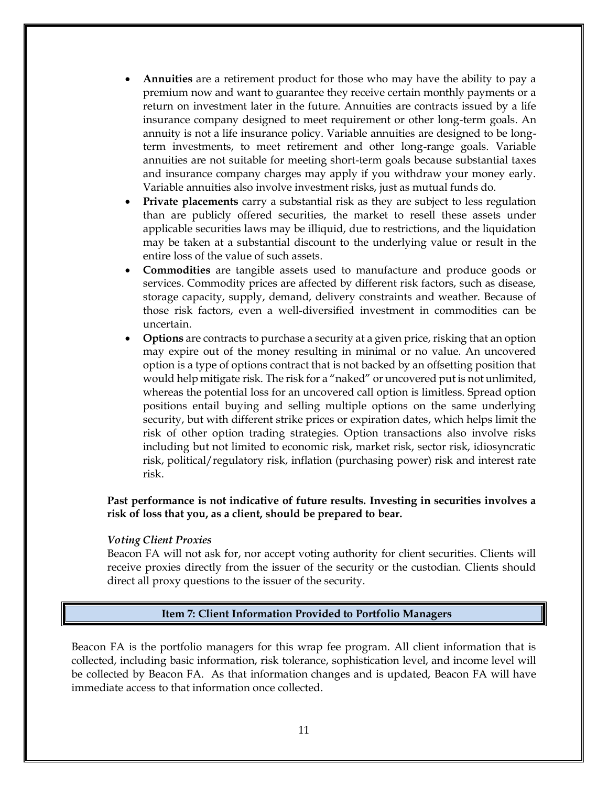- **Annuities** are a retirement product for those who may have the ability to pay a premium now and want to guarantee they receive certain monthly payments or a return on investment later in the future. Annuities are contracts issued by a life insurance company designed to meet requirement or other long-term goals. An annuity is not a life insurance policy. Variable annuities are designed to be longterm investments, to meet retirement and other long-range goals. Variable annuities are not suitable for meeting short-term goals because substantial taxes and insurance company charges may apply if you withdraw your money early. Variable annuities also involve investment risks, just as mutual funds do.
- Private placements carry a substantial risk as they are subject to less regulation than are publicly offered securities, the market to resell these assets under applicable securities laws may be illiquid, due to restrictions, and the liquidation may be taken at a substantial discount to the underlying value or result in the entire loss of the value of such assets.
- **Commodities** are tangible assets used to manufacture and produce goods or services. Commodity prices are affected by different risk factors, such as disease, storage capacity, supply, demand, delivery constraints and weather. Because of those risk factors, even a well-diversified investment in commodities can be uncertain.
- **Options** are contracts to purchase a security at a given price, risking that an option may expire out of the money resulting in minimal or no value. An uncovered option is a type of options contract that is not backed by an offsetting position that would help mitigate risk. The risk for a "naked" or uncovered put is not unlimited, whereas the potential loss for an uncovered call option is limitless. Spread option positions entail buying and selling multiple options on the same underlying security, but with different strike prices or expiration dates, which helps limit the risk of other option trading strategies. Option transactions also involve risks including but not limited to economic risk, market risk, sector risk, idiosyncratic risk, political/regulatory risk, inflation (purchasing power) risk and interest rate risk.

**Past performance is not indicative of future results. Investing in securities involves a risk of loss that you, as a client, should be prepared to bear.**

#### *Voting Client Proxies*

Beacon FA will not ask for, nor accept voting authority for client securities. Clients will receive proxies directly from the issuer of the security or the custodian. Clients should direct all proxy questions to the issuer of the security.

#### <span id="page-10-0"></span> **Item 7: Client Information Provided to Portfolio Managers**

Beacon FA is the portfolio managers for this wrap fee program. All client information that is collected, including basic information, risk tolerance, sophistication level, and income level will be collected by Beacon FA. As that information changes and is updated, Beacon FA will have immediate access to that information once collected.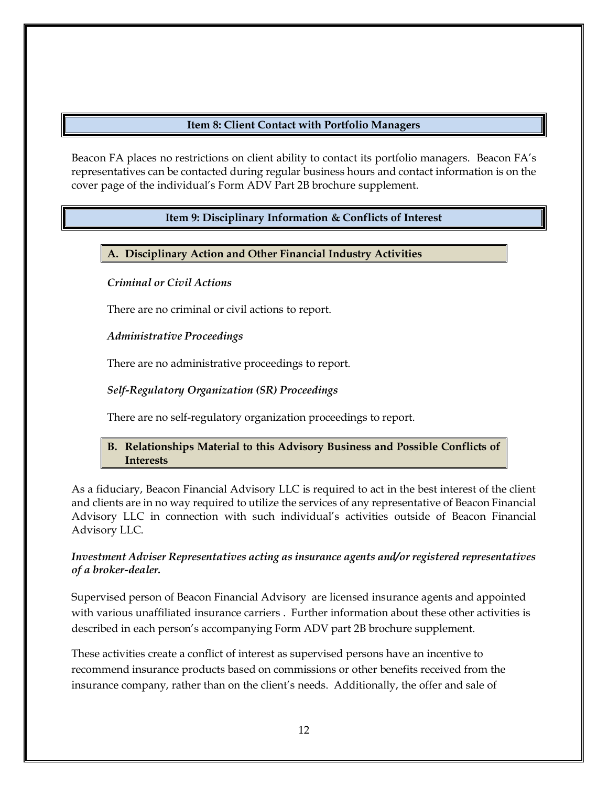# **Item 8: Client Contact with Portfolio Managers**

<span id="page-11-1"></span><span id="page-11-0"></span>Beacon FA places no restrictions on client ability to contact its portfolio managers. Beacon FA's representatives can be contacted during regular business hours and contact information is on the cover page of the individual's Form ADV Part 2B brochure supplement.

# **Item 9: Disciplinary Information & Conflicts of Interest**

# **A. Disciplinary Action and Other Financial Industry Activities**

# *Criminal or Civil Actions*

There are no criminal or civil actions to report.

# *Administrative Proceedings*

There are no administrative proceedings to report.

# *Self-Regulatory Organization (SR) Proceedings*

There are no self-regulatory organization proceedings to report.

# **B. Relationships Material to this Advisory Business and Possible Conflicts of Interests**

As a fiduciary, Beacon Financial Advisory LLC is required to act in the best interest of the client and clients are in no way required to utilize the services of any representative of Beacon Financial Advisory LLC in connection with such individual's activities outside of Beacon Financial Advisory LLC.

# *Investment Adviser Representatives acting as insurance agents and/or registered representatives of a broker-dealer.*

Supervised person of Beacon Financial Advisory are licensed insurance agents and appointed with various unaffiliated insurance carriers . Further information about these other activities is described in each person's accompanying Form ADV part 2B brochure supplement.

These activities create a conflict of interest as supervised persons have an incentive to recommend insurance products based on commissions or other benefits received from the insurance company, rather than on the client's needs. Additionally, the offer and sale of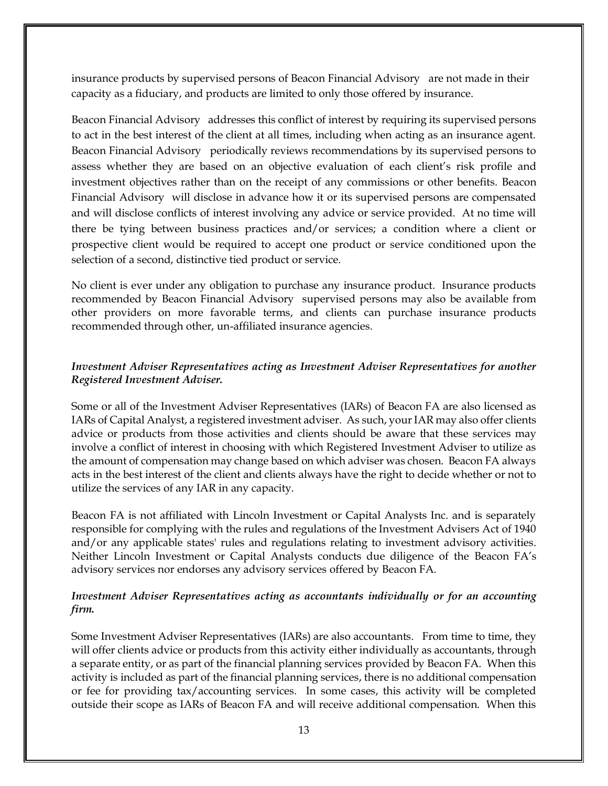insurance products by supervised persons of Beacon Financial Advisory are not made in their capacity as a fiduciary, and products are limited to only those offered by insurance.

Beacon Financial Advisory addresses this conflict of interest by requiring its supervised persons to act in the best interest of the client at all times, including when acting as an insurance agent. Beacon Financial Advisory periodically reviews recommendations by its supervised persons to assess whether they are based on an objective evaluation of each client's risk profile and investment objectives rather than on the receipt of any commissions or other benefits. Beacon Financial Advisory will disclose in advance how it or its supervised persons are compensated and will disclose conflicts of interest involving any advice or service provided. At no time will there be tying between business practices and/or services; a condition where a client or prospective client would be required to accept one product or service conditioned upon the selection of a second, distinctive tied product or service.

No client is ever under any obligation to purchase any insurance product. Insurance products recommended by Beacon Financial Advisory supervised persons may also be available from other providers on more favorable terms, and clients can purchase insurance products recommended through other, un-affiliated insurance agencies.

# *Investment Adviser Representatives acting as Investment Adviser Representatives for another Registered Investment Adviser.*

Some or all of the Investment Adviser Representatives (IARs) of Beacon FA are also licensed as IARs of Capital Analyst, a registered investment adviser. As such, your IAR may also offer clients advice or products from those activities and clients should be aware that these services may involve a conflict of interest in choosing with which Registered Investment Adviser to utilize as the amount of compensation may change based on which adviser was chosen. Beacon FA always acts in the best interest of the client and clients always have the right to decide whether or not to utilize the services of any IAR in any capacity.

Beacon FA is not affiliated with Lincoln Investment or Capital Analysts Inc. and is separately responsible for complying with the rules and regulations of the Investment Advisers Act of 1940 and/or any applicable states' rules and regulations relating to investment advisory activities. Neither Lincoln Investment or Capital Analysts conducts due diligence of the Beacon FA's advisory services nor endorses any advisory services offered by Beacon FA.

# *Investment Adviser Representatives acting as accountants individually or for an accounting firm.*

Some Investment Adviser Representatives (IARs) are also accountants. From time to time, they will offer clients advice or products from this activity either individually as accountants, through a separate entity, or as part of the financial planning services provided by Beacon FA. When this activity is included as part of the financial planning services, there is no additional compensation or fee for providing tax/accounting services. In some cases, this activity will be completed outside their scope as IARs of Beacon FA and will receive additional compensation. When this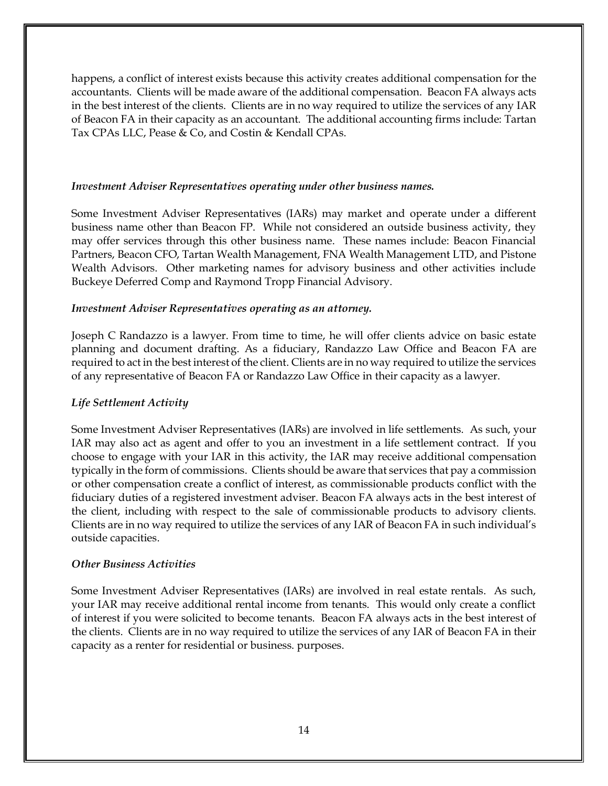happens, a conflict of interest exists because this activity creates additional compensation for the accountants. Clients will be made aware of the additional compensation. Beacon FA always acts in the best interest of the clients. Clients are in no way required to utilize the services of any IAR of Beacon FA in their capacity as an accountant. The additional accounting firms include: Tartan Tax CPAs LLC, Pease & Co, and Costin & Kendall CPAs.

## *Investment Adviser Representatives operating under other business names.*

Some Investment Adviser Representatives (IARs) may market and operate under a different business name other than Beacon FP. While not considered an outside business activity, they may offer services through this other business name. These names include: Beacon Financial Partners, Beacon CFO, Tartan Wealth Management, FNA Wealth Management LTD, and Pistone Wealth Advisors. Other marketing names for advisory business and other activities include Buckeye Deferred Comp and Raymond Tropp Financial Advisory.

## *Investment Adviser Representatives operating as an attorney.*

Joseph C Randazzo is a lawyer. From time to time, he will offer clients advice on basic estate planning and document drafting. As a fiduciary, Randazzo Law Office and Beacon FA are required to act in the best interest of the client. Clients are in no way required to utilize the services of any representative of Beacon FA or Randazzo Law Office in their capacity as a lawyer.

# *Life Settlement Activity*

Some Investment Adviser Representatives (IARs) are involved in life settlements. As such, your IAR may also act as agent and offer to you an investment in a life settlement contract. If you choose to engage with your IAR in this activity, the IAR may receive additional compensation typically in the form of commissions. Clients should be aware that services that pay a commission or other compensation create a conflict of interest, as commissionable products conflict with the fiduciary duties of a registered investment adviser. Beacon FA always acts in the best interest of the client, including with respect to the sale of commissionable products to advisory clients. Clients are in no way required to utilize the services of any IAR of Beacon FA in such individual's outside capacities.

## *Other Business Activities*

Some Investment Adviser Representatives (IARs) are involved in real estate rentals. As such, your IAR may receive additional rental income from tenants. This would only create a conflict of interest if you were solicited to become tenants. Beacon FA always acts in the best interest of the clients. Clients are in no way required to utilize the services of any IAR of Beacon FA in their capacity as a renter for residential or business. purposes.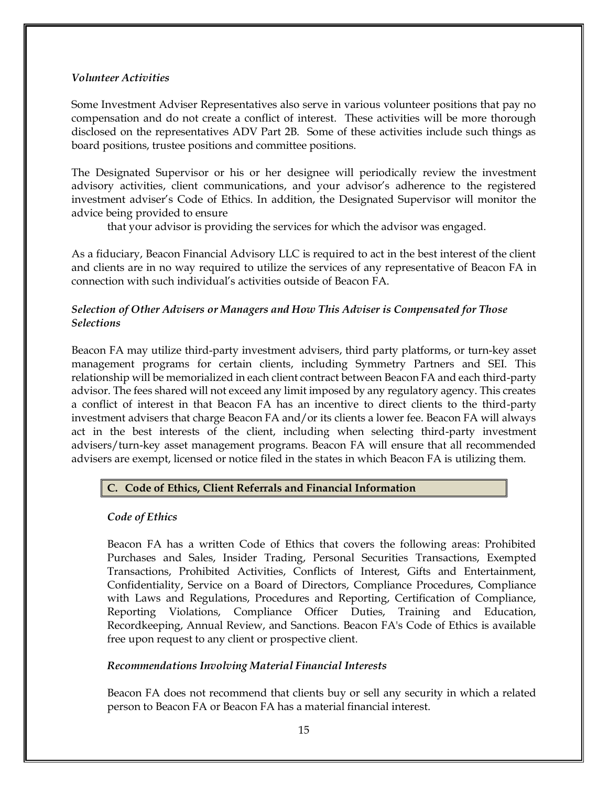## *Volunteer Activities*

Some Investment Adviser Representatives also serve in various volunteer positions that pay no compensation and do not create a conflict of interest. These activities will be more thorough disclosed on the representatives ADV Part 2B. Some of these activities include such things as board positions, trustee positions and committee positions.

The Designated Supervisor or his or her designee will periodically review the investment advisory activities, client communications, and your advisor's adherence to the registered investment adviser's Code of Ethics. In addition, the Designated Supervisor will monitor the advice being provided to ensure

that your advisor is providing the services for which the advisor was engaged.

As a fiduciary, Beacon Financial Advisory LLC is required to act in the best interest of the client and clients are in no way required to utilize the services of any representative of Beacon FA in connection with such individual's activities outside of Beacon FA.

# *Selection of Other Advisers or Managers and How This Adviser is Compensated for Those Selections*

Beacon FA may utilize third-party investment advisers, third party platforms, or turn-key asset management programs for certain clients, including Symmetry Partners and SEI. This relationship will be memorialized in each client contract between Beacon FA and each third-party advisor. The fees shared will not exceed any limit imposed by any regulatory agency. This creates a conflict of interest in that Beacon FA has an incentive to direct clients to the third-party investment advisers that charge Beacon FA and/or its clients a lower fee. Beacon FA will always act in the best interests of the client, including when selecting third-party investment advisers/turn-key asset management programs. Beacon FA will ensure that all recommended advisers are exempt, licensed or notice filed in the states in which Beacon FA is utilizing them.

# **C. Code of Ethics, Client Referrals and Financial Information**

# *Code of Ethics*

Beacon FA has a written Code of Ethics that covers the following areas: Prohibited Purchases and Sales, Insider Trading, Personal Securities Transactions, Exempted Transactions, Prohibited Activities, Conflicts of Interest, Gifts and Entertainment, Confidentiality, Service on a Board of Directors, Compliance Procedures, Compliance with Laws and Regulations, Procedures and Reporting, Certification of Compliance, Reporting Violations, Compliance Officer Duties, Training and Education, Recordkeeping, Annual Review, and Sanctions. Beacon FA's Code of Ethics is available free upon request to any client or prospective client.

# *Recommendations Involving Material Financial Interests*

Beacon FA does not recommend that clients buy or sell any security in which a related person to Beacon FA or Beacon FA has a material financial interest.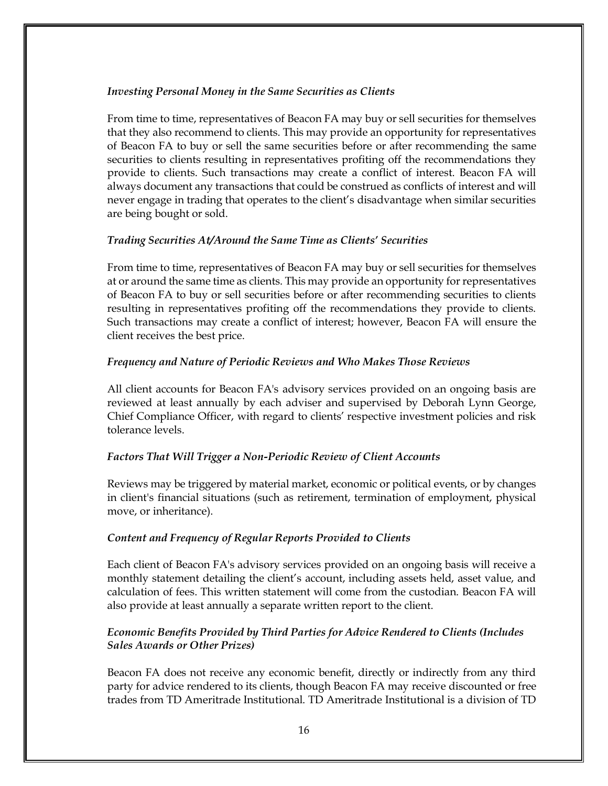## *Investing Personal Money in the Same Securities as Clients*

From time to time, representatives of Beacon FA may buy or sell securities for themselves that they also recommend to clients. This may provide an opportunity for representatives of Beacon FA to buy or sell the same securities before or after recommending the same securities to clients resulting in representatives profiting off the recommendations they provide to clients. Such transactions may create a conflict of interest. Beacon FA will always document any transactions that could be construed as conflicts of interest and will never engage in trading that operates to the client's disadvantage when similar securities are being bought or sold.

## *Trading Securities At/Around the Same Time as Clients' Securities*

From time to time, representatives of Beacon FA may buy or sell securities for themselves at or around the same time as clients. This may provide an opportunity for representatives of Beacon FA to buy or sell securities before or after recommending securities to clients resulting in representatives profiting off the recommendations they provide to clients. Such transactions may create a conflict of interest; however, Beacon FA will ensure the client receives the best price.

## *Frequency and Nature of Periodic Reviews and Who Makes Those Reviews*

All client accounts for Beacon FA's advisory services provided on an ongoing basis are reviewed at least annually by each adviser and supervised by Deborah Lynn George, Chief Compliance Officer, with regard to clients' respective investment policies and risk tolerance levels.

## *Factors That Will Trigger a Non-Periodic Review of Client Accounts*

Reviews may be triggered by material market, economic or political events, or by changes in client's financial situations (such as retirement, termination of employment, physical move, or inheritance).

#### *Content and Frequency of Regular Reports Provided to Clients*

Each client of Beacon FA's advisory services provided on an ongoing basis will receive a monthly statement detailing the client's account, including assets held, asset value, and calculation of fees. This written statement will come from the custodian. Beacon FA will also provide at least annually a separate written report to the client.

# *Economic Benefits Provided by Third Parties for Advice Rendered to Clients (Includes Sales Awards or Other Prizes)*

Beacon FA does not receive any economic benefit, directly or indirectly from any third party for advice rendered to its clients, though Beacon FA may receive discounted or free trades from TD Ameritrade Institutional. TD Ameritrade Institutional is a division of TD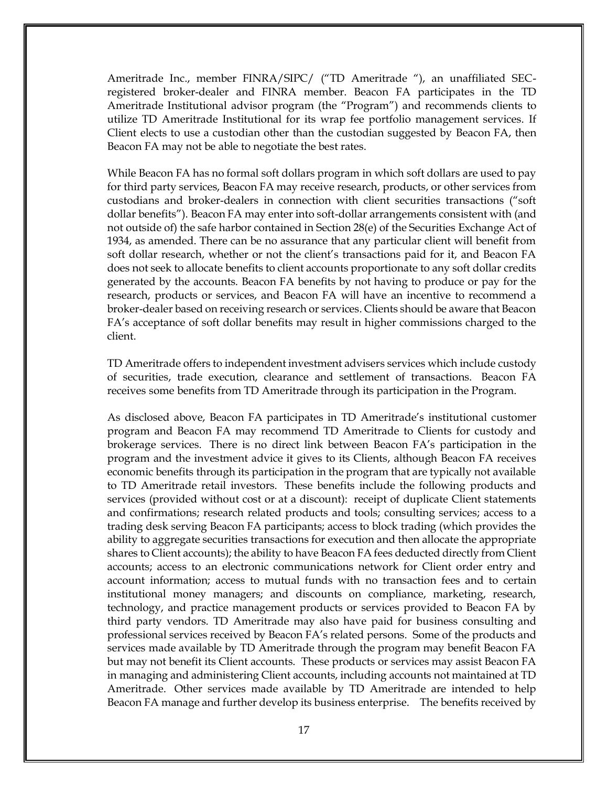Ameritrade Inc., member FINRA/SIPC/ ("TD Ameritrade "), an unaffiliated SECregistered broker-dealer and FINRA member. Beacon FA participates in the TD Ameritrade Institutional advisor program (the "Program") and recommends clients to utilize TD Ameritrade Institutional for its wrap fee portfolio management services. If Client elects to use a custodian other than the custodian suggested by Beacon FA, then Beacon FA may not be able to negotiate the best rates.

While Beacon FA has no formal soft dollars program in which soft dollars are used to pay for third party services, Beacon FA may receive research, products, or other services from custodians and broker-dealers in connection with client securities transactions ("soft dollar benefits"). Beacon FA may enter into soft-dollar arrangements consistent with (and not outside of) the safe harbor contained in Section 28(e) of the Securities Exchange Act of 1934, as amended. There can be no assurance that any particular client will benefit from soft dollar research, whether or not the client's transactions paid for it, and Beacon FA does not seek to allocate benefits to client accounts proportionate to any soft dollar credits generated by the accounts. Beacon FA benefits by not having to produce or pay for the research, products or services, and Beacon FA will have an incentive to recommend a broker-dealer based on receiving research or services. Clients should be aware that Beacon FA's acceptance of soft dollar benefits may result in higher commissions charged to the client.

TD Ameritrade offers to independent investment advisers services which include custody of securities, trade execution, clearance and settlement of transactions. Beacon FA receives some benefits from TD Ameritrade through its participation in the Program.

As disclosed above, Beacon FA participates in TD Ameritrade's institutional customer program and Beacon FA may recommend TD Ameritrade to Clients for custody and brokerage services. There is no direct link between Beacon FA's participation in the program and the investment advice it gives to its Clients, although Beacon FA receives economic benefits through its participation in the program that are typically not available to TD Ameritrade retail investors. These benefits include the following products and services (provided without cost or at a discount): receipt of duplicate Client statements and confirmations; research related products and tools; consulting services; access to a trading desk serving Beacon FA participants; access to block trading (which provides the ability to aggregate securities transactions for execution and then allocate the appropriate shares to Client accounts); the ability to have Beacon FA fees deducted directly from Client accounts; access to an electronic communications network for Client order entry and account information; access to mutual funds with no transaction fees and to certain institutional money managers; and discounts on compliance, marketing, research, technology, and practice management products or services provided to Beacon FA by third party vendors. TD Ameritrade may also have paid for business consulting and professional services received by Beacon FA's related persons. Some of the products and services made available by TD Ameritrade through the program may benefit Beacon FA but may not benefit its Client accounts. These products or services may assist Beacon FA in managing and administering Client accounts, including accounts not maintained at TD Ameritrade. Other services made available by TD Ameritrade are intended to help Beacon FA manage and further develop its business enterprise. The benefits received by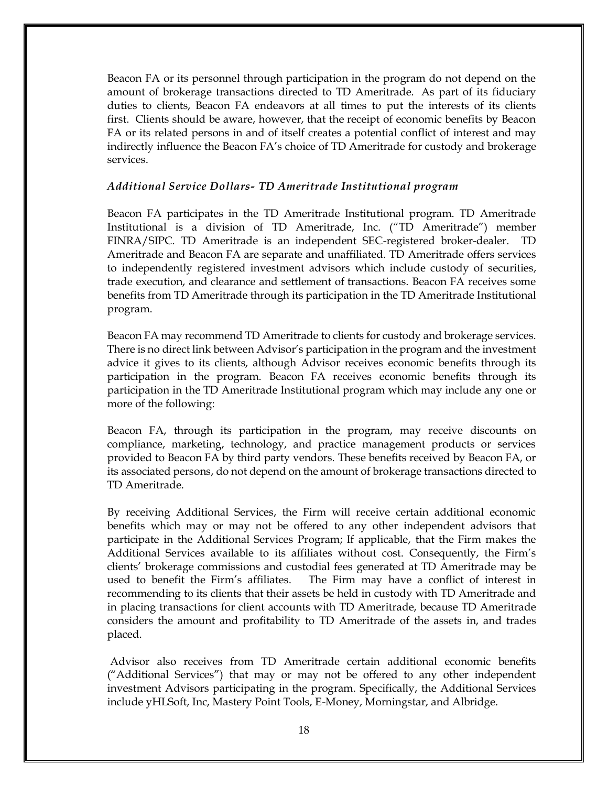Beacon FA or its personnel through participation in the program do not depend on the amount of brokerage transactions directed to TD Ameritrade. As part of its fiduciary duties to clients, Beacon FA endeavors at all times to put the interests of its clients first. Clients should be aware, however, that the receipt of economic benefits by Beacon FA or its related persons in and of itself creates a potential conflict of interest and may indirectly influence the Beacon FA's choice of TD Ameritrade for custody and brokerage services.

## *Additional Service Dollars- TD Ameritrade Institutional program*

Beacon FA participates in the TD Ameritrade Institutional program. TD Ameritrade Institutional is a division of TD Ameritrade, Inc. ("TD Ameritrade") member FINRA/SIPC. TD Ameritrade is an independent SEC-registered broker-dealer. TD Ameritrade and Beacon FA are separate and unaffiliated. TD Ameritrade offers services to independently registered investment advisors which include custody of securities, trade execution, and clearance and settlement of transactions. Beacon FA receives some benefits from TD Ameritrade through its participation in the TD Ameritrade Institutional program.

Beacon FA may recommend TD Ameritrade to clients for custody and brokerage services. There is no direct link between Advisor's participation in the program and the investment advice it gives to its clients, although Advisor receives economic benefits through its participation in the program. Beacon FA receives economic benefits through its participation in the TD Ameritrade Institutional program which may include any one or more of the following:

Beacon FA, through its participation in the program, may receive discounts on compliance, marketing, technology, and practice management products or services provided to Beacon FA by third party vendors. These benefits received by Beacon FA, or its associated persons, do not depend on the amount of brokerage transactions directed to TD Ameritrade.

By receiving Additional Services, the Firm will receive certain additional economic benefits which may or may not be offered to any other independent advisors that participate in the Additional Services Program; If applicable, that the Firm makes the Additional Services available to its affiliates without cost. Consequently, the Firm's clients' brokerage commissions and custodial fees generated at TD Ameritrade may be used to benefit the Firm's affiliates. The Firm may have a conflict of interest in recommending to its clients that their assets be held in custody with TD Ameritrade and in placing transactions for client accounts with TD Ameritrade, because TD Ameritrade considers the amount and profitability to TD Ameritrade of the assets in, and trades placed.

Advisor also receives from TD Ameritrade certain additional economic benefits ("Additional Services") that may or may not be offered to any other independent investment Advisors participating in the program. Specifically, the Additional Services include yHLSoft, Inc, Mastery Point Tools, E-Money, Morningstar, and Albridge.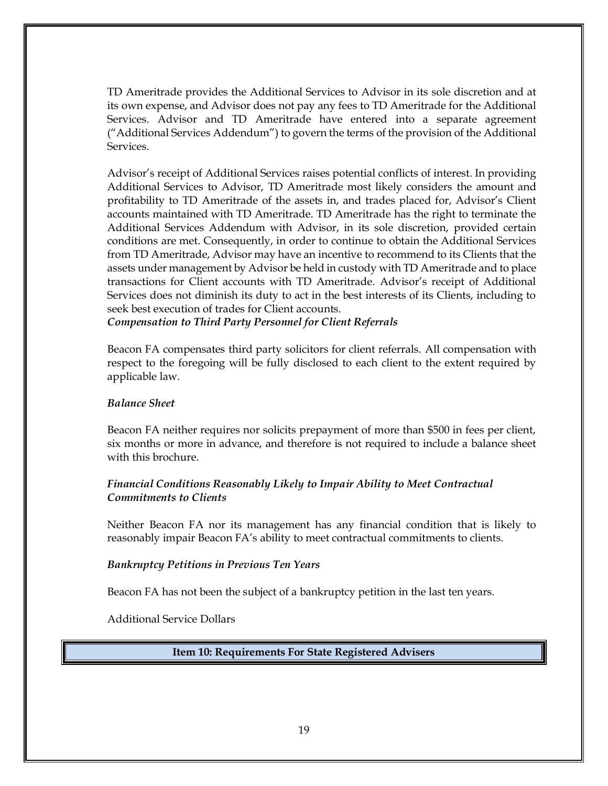TD Ameritrade provides the Additional Services to Advisor in its sole discretion and at its own expense, and Advisor does not pay any fees to TD Ameritrade for the Additional Services. Advisor and TD Ameritrade have entered into a separate agreement ("Additional Services Addendum") to govern the terms of the provision of the Additional Services.

Advisor's receipt of Additional Services raises potential conflicts of interest. In providing Additional Services to Advisor, TD Ameritrade most likely considers the amount and profitability to TD Ameritrade of the assets in, and trades placed for, Advisor's Client accounts maintained with TD Ameritrade. TD Ameritrade has the right to terminate the Additional Services Addendum with Advisor, in its sole discretion, provided certain conditions are met. Consequently, in order to continue to obtain the Additional Services from TD Ameritrade, Advisor may have an incentive to recommend to its Clients that the assets under management by Advisor be held in custody with TD Ameritrade and to place transactions for Client accounts with TD Ameritrade. Advisor's receipt of Additional Services does not diminish its duty to act in the best interests of its Clients, including to seek best execution of trades for Client accounts.

*Compensation to Third Party Personnel for Client Referrals*

Beacon FA compensates third party solicitors for client referrals. All compensation with respect to the foregoing will be fully disclosed to each client to the extent required by applicable law.

# *Balance Sheet*

Beacon FA neither requires nor solicits prepayment of more than \$500 in fees per client, six months or more in advance, and therefore is not required to include a balance sheet with this brochure

# *Financial Conditions Reasonably Likely to Impair Ability to Meet Contractual Commitments to Clients*

Neither Beacon FA nor its management has any financial condition that is likely to reasonably impair Beacon FA's ability to meet contractual commitments to clients.

# *Bankruptcy Petitions in Previous Ten Years*

Beacon FA has not been the subject of a bankruptcy petition in the last ten years.

<span id="page-18-0"></span>Additional Service Dollars

**Item 10: Requirements For State Registered Advisers**